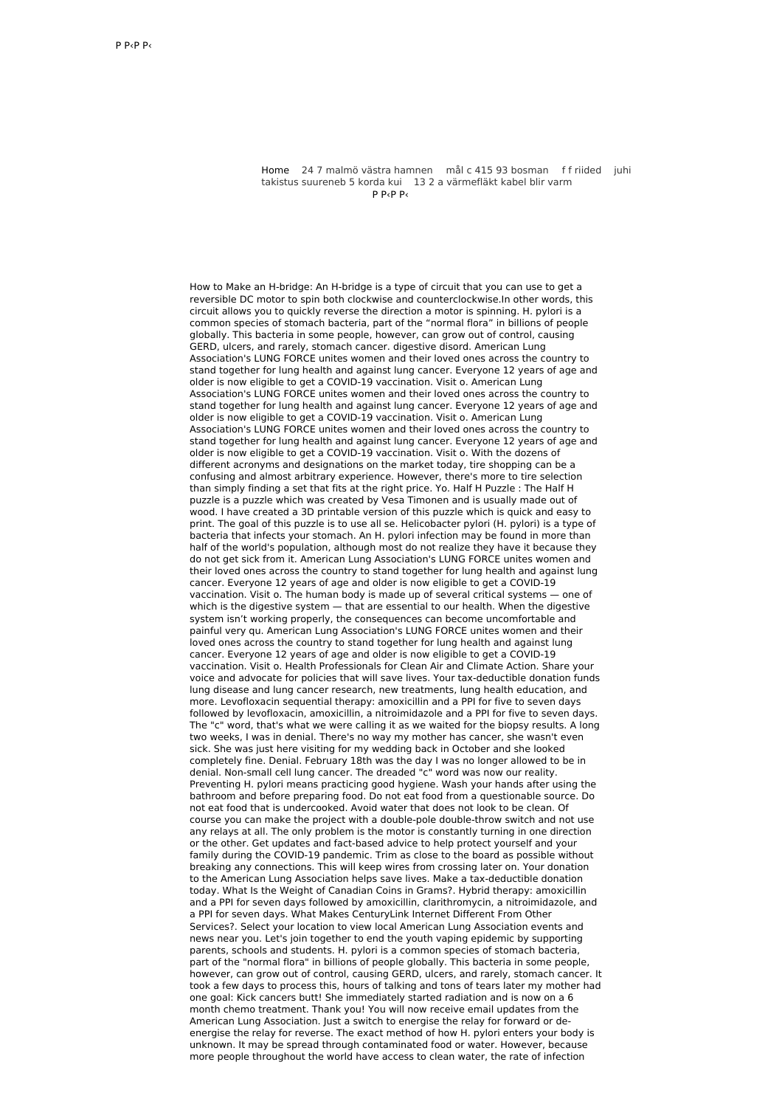Home 24 7 malmö västra [hamnen](http://manufakturawakame.pl/Qw) mål c 415 93 [bosman](http://bajbe.pl/tq9) f f [riided](http://bajbe.pl/mKm) juhi takistus suureneb 5 korda kui 13 2 a [värmefläkt](http://bajbe.pl/PS6) kabel blir varm  $P$  Р $\epsilon$ Р $\epsilon$ 

How to Make an H-bridge: An H-bridge is a type of circuit that you can use to get a reversible DC motor to spin both clockwise and counterclockwise.In other words, this circuit allows you to quickly reverse the direction a motor is spinning. H. pylori is a common species of stomach bacteria, part of the "normal flora" in billions of people globally. This bacteria in some people, however, can grow out of control, causing GERD, ulcers, and rarely, stomach cancer. digestive disord. American Lung Association's LUNG FORCE unites women and their loved ones across the country to stand together for lung health and against lung cancer. Everyone 12 years of age and older is now eligible to get a COVID-19 vaccination. Visit o. American Lung Association's LUNG FORCE unites women and their loved ones across the country to stand together for lung health and against lung cancer. Everyone 12 years of age and older is now eligible to get a COVID-19 vaccination. Visit o. American Lung Association's LUNG FORCE unites women and their loved ones across the country to stand together for lung health and against lung cancer. Everyone 12 years of age and older is now eligible to get a COVID-19 vaccination. Visit o. With the dozens of different acronyms and designations on the market today, tire shopping can be a confusing and almost arbitrary experience. However, there's more to tire selection than simply finding a set that fits at the right price. Yo. Half H Puzzle : The Half H puzzle is a puzzle which was created by Vesa Timonen and is usually made out of wood. I have created a 3D printable version of this puzzle which is quick and easy to print. The goal of this puzzle is to use all se. Helicobacter pylori (H. pylori) is a type of bacteria that infects your stomach. An H. pylori infection may be found in more than half of the world's population, although most do not realize they have it because they do not get sick from it. American Lung Association's LUNG FORCE unites women and their loved ones across the country to stand together for lung health and against lung cancer. Everyone 12 years of age and older is now eligible to get a COVID-19 vaccination. Visit o. The human body is made up of several critical systems — one of which is the digestive system — that are essential to our health. When the digestive system isn't working properly, the consequences can become uncomfortable and painful very qu. American Lung Association's LUNG FORCE unites women and their loved ones across the country to stand together for lung health and against lung cancer. Everyone 12 years of age and older is now eligible to get a COVID-19 vaccination. Visit o. Health Professionals for Clean Air and Climate Action. Share your voice and advocate for policies that will save lives. Your tax-deductible donation funds lung disease and lung cancer research, new treatments, lung health education, and more. Levofloxacin sequential therapy: amoxicillin and a PPI for five to seven days followed by levofloxacin, amoxicillin, a nitroimidazole and a PPI for five to seven days. The "c" word, that's what we were calling it as we waited for the biopsy results. A long two weeks, I was in denial. There's no way my mother has cancer, she wasn't even sick. She was just here visiting for my wedding back in October and she looked completely fine. Denial. February 18th was the day I was no longer allowed to be in denial. Non-small cell lung cancer. The dreaded "c" word was now our reality. Preventing H. pylori means practicing good hygiene. Wash your hands after using the bathroom and before preparing food. Do not eat food from a questionable source. Do not eat food that is undercooked. Avoid water that does not look to be clean. Of course you can make the project with a double-pole double-throw switch and not use any relays at all. The only problem is the motor is constantly turning in one direction or the other. Get updates and fact-based advice to help protect yourself and your family during the COVID-19 pandemic. Trim as close to the board as possible without breaking any connections. This will keep wires from crossing later on. Your donation to the American Lung Association helps save lives. Make a tax-deductible donation today. What Is the Weight of Canadian Coins in Grams?. Hybrid therapy: amoxicillin and a PPI for seven days followed by amoxicillin, clarithromycin, a nitroimidazole, and a PPI for seven days. What Makes CenturyLink Internet Different From Other Services?. Select your location to view local American Lung Association events and news near you. Let's join together to end the youth vaping epidemic by supporting parents, schools and students. H. pylori is a common species of stomach bacteria, part of the "normal flora" in billions of people globally. This bacteria in some people, however, can grow out of control, causing GERD, ulcers, and rarely, stomach cancer. It took a few days to process this, hours of talking and tons of tears later my mother had one goal: Kick cancers butt! She immediately started radiation and is now on a 6 month chemo treatment. Thank you! You will now receive email updates from the American Lung Association. Just a switch to energise the relay for forward or deenergise the relay for reverse. The exact method of how H. pylori enters your body is unknown. It may be spread through contaminated food or water. However, because more people throughout the world have access to clean water, the rate of infection